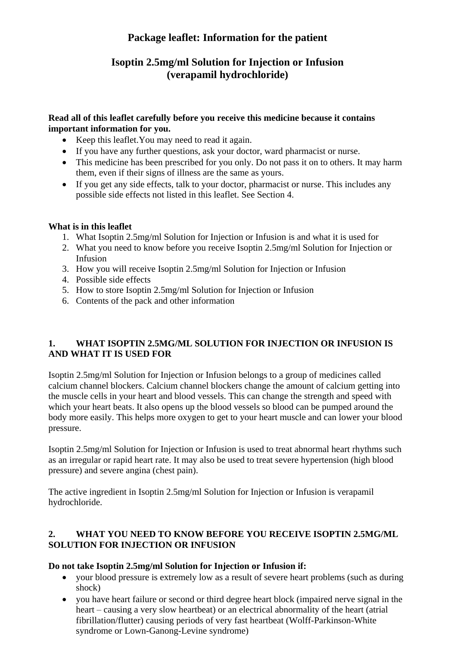# **Package leaflet: Information for the patient**

# **Isoptin 2.5mg/ml Solution for Injection or Infusion (verapamil hydrochloride)**

#### **Read all of this leaflet carefully before you receive this medicine because it contains important information for you.**

- Keep this leaflet.You may need to read it again.
- If you have any further questions, ask your doctor, ward pharmacist or nurse.
- This medicine has been prescribed for you only. Do not pass it on to others. It may harm them, even if their signs of illness are the same as yours.
- If you get any side effects, talk to your doctor, pharmacist or nurse. This includes any possible side effects not listed in this leaflet. See Section 4.

### **What is in this leaflet**

- 1. What Isoptin 2.5mg/ml Solution for Injection or Infusion is and what it is used for
- 2. What you need to know before you receive Isoptin 2.5mg/ml Solution for Injection or Infusion
- 3. How you will receive Isoptin 2.5mg/ml Solution for Injection or Infusion
- 4. Possible side effects
- 5. How to store Isoptin 2.5mg/ml Solution for Injection or Infusion
- 6. Contents of the pack and other information

# **1. WHAT ISOPTIN 2.5MG/ML SOLUTION FOR INJECTION OR INFUSION IS AND WHAT IT IS USED FOR**

Isoptin 2.5mg/ml Solution for Injection or Infusion belongs to a group of medicines called calcium channel blockers. Calcium channel blockers change the amount of calcium getting into the muscle cells in your heart and blood vessels. This can change the strength and speed with which your heart beats. It also opens up the blood vessels so blood can be pumped around the body more easily. This helps more oxygen to get to your heart muscle and can lower your blood pressure.

Isoptin 2.5mg/ml Solution for Injection or Infusion is used to treat abnormal heart rhythms such as an irregular or rapid heart rate. It may also be used to treat severe hypertension (high blood pressure) and severe angina (chest pain).

The active ingredient in Isoptin 2.5mg/ml Solution for Injection or Infusion is verapamil hydrochloride.

### **2. WHAT YOU NEED TO KNOW BEFORE YOU RECEIVE ISOPTIN 2.5MG/ML SOLUTION FOR INJECTION OR INFUSION**

# **Do not take Isoptin 2.5mg/ml Solution for Injection or Infusion if:**

- vour blood pressure is extremely low as a result of severe heart problems (such as during shock)
- you have heart failure or second or third degree heart block (impaired nerve signal in the heart – causing a very slow heartbeat) or an electrical abnormality of the heart (atrial fibrillation/flutter) causing periods of very fast heartbeat (Wolff-Parkinson-White syndrome or Lown-Ganong-Levine syndrome)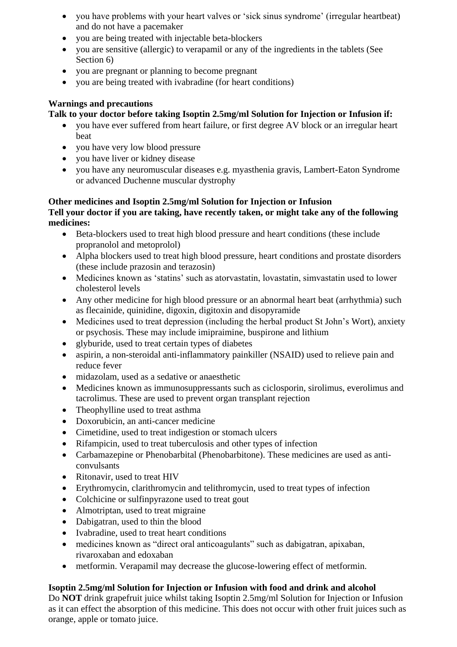- you have problems with your heart valves or 'sick sinus syndrome' (irregular heartbeat) and do not have a pacemaker
- you are being treated with injectable beta-blockers
- you are sensitive (allergic) to verapamil or any of the ingredients in the tablets (See Section 6)
- you are pregnant or planning to become pregnant
- you are being treated with ivabradine (for heart conditions)

### **Warnings and precautions**

### **Talk to your doctor before taking Isoptin 2.5mg/ml Solution for Injection or Infusion if:**

- you have ever suffered from heart failure, or first degree AV block or an irregular heart beat
- you have very low blood pressure
- you have liver or kidney disease
- you have any neuromuscular diseases e.g. myasthenia gravis, Lambert-Eaton Syndrome or advanced Duchenne muscular dystrophy

#### **Other medicines and Isoptin 2.5mg/ml Solution for Injection or Infusion Tell your doctor if you are taking, have recently taken, or might take any of the following medicines:**

- Beta-blockers used to treat high blood pressure and heart conditions (these include propranolol and metoprolol)
- Alpha blockers used to treat high blood pressure, heart conditions and prostate disorders (these include prazosin and terazosin)
- Medicines known as 'statins' such as atorvastatin, lovastatin, simvastatin used to lower cholesterol levels
- Any other medicine for high blood pressure or an abnormal heart beat (arrhythmia) such as flecainide, quinidine, digoxin, digitoxin and disopyramide
- Medicines used to treat depression (including the herbal product St John's Wort), anxiety or psychosis. These may include imipraimine, buspirone and lithium
- glyburide, used to treat certain types of diabetes
- aspirin, a non-steroidal anti-inflammatory painkiller (NSAID) used to relieve pain and reduce fever
- midazolam, used as a sedative or anaesthetic
- Medicines known as immunosuppressants such as ciclosporin, sirolimus, everolimus and tacrolimus. These are used to prevent organ transplant rejection
- Theophylline used to treat asthma
- Doxorubicin, an anti-cancer medicine
- Cimetidine, used to treat indigestion or stomach ulcers
- Rifampicin, used to treat tuberculosis and other types of infection
- Carbamazepine or Phenobarbital (Phenobarbitone). These medicines are used as anticonvulsants
- Ritonavir, used to treat HIV
- Erythromycin, clarithromycin and telithromycin, used to treat types of infection
- Colchicine or sulfinpyrazone used to treat gout
- Almotriptan, used to treat migraine
- Dabigatran, used to thin the blood
- Ivabradine, used to treat heart conditions
- medicines known as "direct oral anticoagulants" such as dabigatran, apixaban, rivaroxaban and edoxaban
- metformin. Verapamil may decrease the glucose-lowering effect of metformin.

# **Isoptin 2.5mg/ml Solution for Injection or Infusion with food and drink and alcohol**

Do **NOT** drink grapefruit juice whilst taking Isoptin 2.5mg/ml Solution for Injection or Infusion as it can effect the absorption of this medicine. This does not occur with other fruit juices such as orange, apple or tomato juice.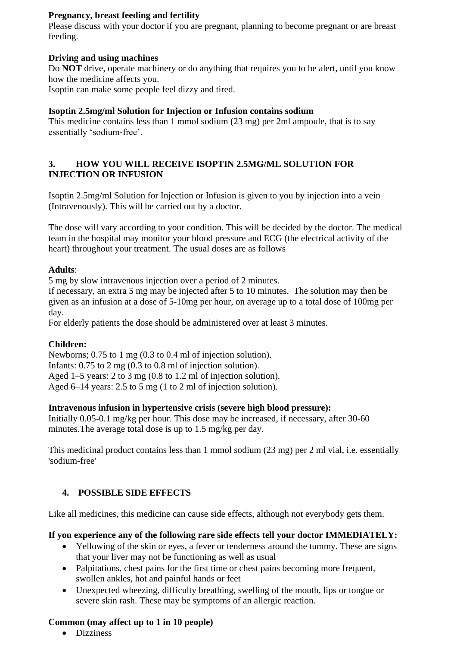### **Pregnancy, breast feeding and fertility**

Please discuss with your doctor if you are pregnant, planning to become pregnant or are breast feeding.

### **Driving and using machines**

Do **NOT** drive, operate machinery or do anything that requires you to be alert, until you know how the medicine affects you.

Isoptin can make some people feel dizzy and tired.

### **Isoptin 2.5mg/ml Solution for Injection or Infusion contains sodium**

This medicine contains less than 1 mmol sodium (23 mg) per 2ml ampoule, that is to say essentially 'sodium-free'.

#### **3. HOW YOU WILL RECEIVE ISOPTIN 2.5MG/ML SOLUTION FOR INJECTION OR INFUSION**

Isoptin 2.5mg/ml Solution for Injection or Infusion is given to you by injection into a vein (Intravenously). This will be carried out by a doctor.

The dose will vary according to your condition. This will be decided by the doctor. The medical team in the hospital may monitor your blood pressure and ECG (the electrical activity of the heart) throughout your treatment. The usual doses are as follows

#### **Adults**:

5 mg by slow intravenous injection over a period of 2 minutes.

If necessary, an extra 5 mg may be injected after 5 to 10 minutes. The solution may then be given as an infusion at a dose of 5-10mg per hour, on average up to a total dose of 100mg per day.

For elderly patients the dose should be administered over at least 3 minutes.

#### **Children:**

Newborns; 0.75 to 1 mg (0.3 to 0.4 ml of injection solution). Infants: 0.75 to 2 mg (0.3 to 0.8 ml of injection solution). Aged 1–5 years: 2 to 3 mg (0.8 to 1.2 ml of injection solution). Aged 6–14 years: 2.5 to 5 mg (1 to 2 ml of injection solution).

#### **Intravenous infusion in hypertensive crisis (severe high blood pressure):**

Initially 0.05-0.1 mg/kg per hour. This dose may be increased, if necessary, after 30-60 minutes.The average total dose is up to 1.5 mg/kg per day.

This medicinal product contains less than 1 mmol sodium (23 mg) per 2 ml vial, i.e. essentially 'sodium-free'

# **4. POSSIBLE SIDE EFFECTS**

Like all medicines, this medicine can cause side effects, although not everybody gets them.

#### **If you experience any of the following rare side effects tell your doctor IMMEDIATELY:**

- Yellowing of the skin or eyes, a fever or tenderness around the tummy. These are signs that your liver may not be functioning as well as usual
- Palpitations, chest pains for the first time or chest pains becoming more frequent, swollen ankles, hot and painful hands or feet
- Unexpected wheezing, difficulty breathing, swelling of the mouth, lips or tongue or severe skin rash. These may be symptoms of an allergic reaction.

#### **Common (may affect up to 1 in 10 people)**

• Dizziness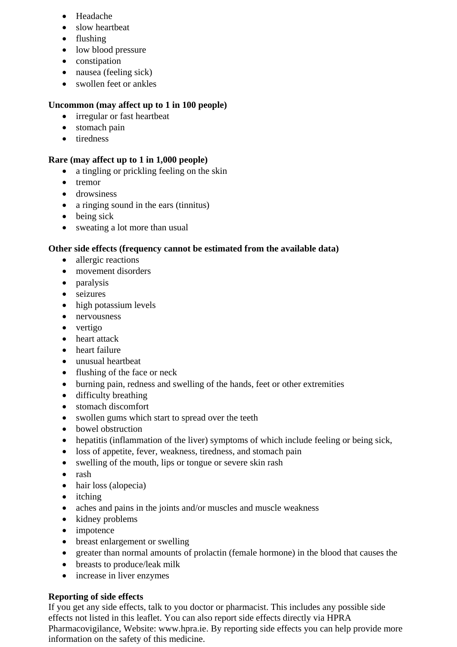- Headache
- slow heartbeat
- flushing
- low blood pressure
- constipation
- nausea (feeling sick)
- swollen feet or ankles

# **Uncommon (may affect up to 1 in 100 people)**

- irregular or fast heartbeat
- stomach pain
- tiredness

### **Rare (may affect up to 1 in 1,000 people)**

- a tingling or prickling feeling on the skin
- tremor
- drowsiness
- a ringing sound in the ears (tinnitus)
- being sick
- sweating a lot more than usual

# **Other side effects (frequency cannot be estimated from the available data)**

- allergic reactions
- movement disorders
- paralysis
- seizures
- high potassium levels
- nervousness
- vertigo
- heart attack
- heart failure
- unusual heartbeat
- flushing of the face or neck
- burning pain, redness and swelling of the hands, feet or other extremities
- difficulty breathing
- stomach discomfort
- swollen gums which start to spread over the teeth
- bowel obstruction
- hepatitis (inflammation of the liver) symptoms of which include feeling or being sick,
- loss of appetite, fever, weakness, tiredness, and stomach pain
- swelling of the mouth, lips or tongue or severe skin rash
- rash
- hair loss (alopecia)
- itching
- aches and pains in the joints and/or muscles and muscle weakness
- kidney problems
- impotence
- breast enlargement or swelling
- greater than normal amounts of prolactin (female hormone) in the blood that causes the
- breasts to produce/leak milk
- increase in liver enzymes

# **Reporting of side effects**

If you get any side effects, talk to you doctor or pharmacist. This includes any possible side effects not listed in this leaflet. You can also report side effects directly via HPRA Pharmacovigilance, Website: www.hpra.ie. By reporting side effects you can help provide more information on the safety of this medicine.